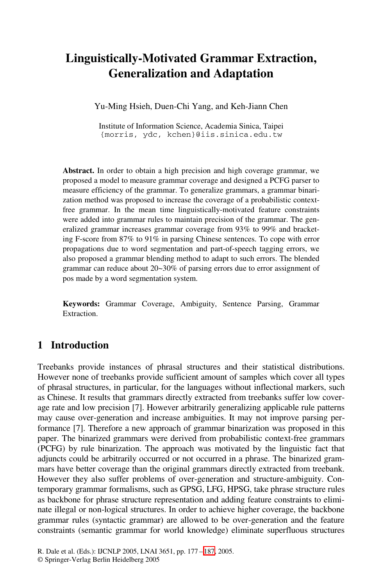# **Linguistically-Motivated Grammar Extraction, Generalization and Adaptation**

Yu-Ming Hsieh, Duen-Chi Yang, and Keh-Jiann Chen

Institute of Information Science, Academia Sinica, Taipei {morris, ydc, kchen}@iis.sinica.edu.tw

**Abstract.** In order to obtain a high precision and high coverage grammar, we proposed a model to measure grammar coverage and designed a PCFG parser to measure efficiency of the grammar. To generalize grammars, a grammar binarization method was proposed to increase the coverage of a probabilistic contextfree grammar. In the mean time linguistically-motivated feature constraints were added into grammar rules to maintain precision of the grammar. The generalized grammar increases grammar coverage from 93% to 99% and bracketing F-score from 87% to 91% in parsing Chinese sentences. To cope with error propagations due to word segmentation and part-of-speech tagging errors, we also proposed a grammar blending method to adapt to such errors. The blended grammar can reduce about 20~30% of parsing errors due to error assignment of pos made by a word segmentation system.

**Keywords:** Grammar Coverage, Ambiguity, Sentence Parsing, Grammar Extraction.

## **1 Introduction**

Treebanks provide instances of phrasal structures and their statistical distributions. However none of treebanks provide sufficient amount of samples which cover all types of phrasal structures, in particular, for the languages without inflectional markers, such as Chinese. It results that grammars directly extracted from treebanks suffer low coverage rate and low precision [7]. However arbitrarily generalizing applicable rule patterns may cause over-generation and increase ambiguities. It may not improve parsing performance [7]. Therefore a new approach of grammar binarization was proposed in this paper. The binarized grammars were derived from probabilistic context-free grammars (PCFG) by rule binarization. The approach was motivated by the linguistic fact that adjuncts could be arbitrarily occurred or not occurred in a phrase. The binarized grammars have better coverage than the original grammars directly extracted from treebank. However they also suffer problems of over-generation and structure-ambiguity. Contemporary grammar formalisms, such as GPSG, LFG, HPSG, take phrase structure rules as backbone for phrase structure representation and adding feature constraints to eliminate illegal or non-logical structures. In order to achieve higher coverage, the backbone grammar rules (syntactic grammar) are allowed to be over-generation and the feature constraints (semantic grammar for world knowledge) eliminate superfluous structures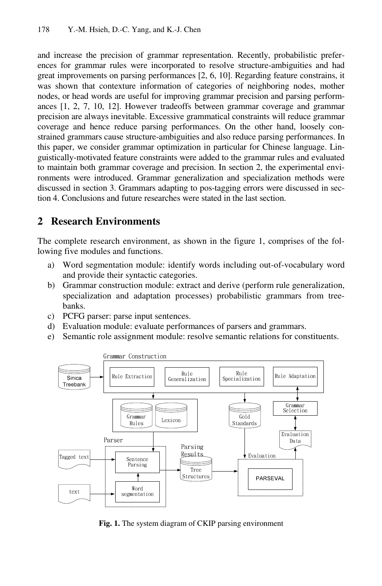and increase the precision of grammar representation. Recently, probabilistic preferences for grammar rules were incorporated to resolve structure-ambiguities and had great improvements on parsing performances [2, 6, 10]. Regarding feature constrains, it was shown that contexture information of categories of neighboring nodes, mother nodes, or head words are useful for improving grammar precision and parsing performances [1, 2, 7, 10, 12]. However tradeoffs between grammar coverage and grammar precision are always inevitable. Excessive grammatical constraints will reduce grammar coverage and hence reduce parsing performances. On the other hand, loosely constrained grammars cause structure-ambiguities and also reduce parsing performances. In this paper, we consider grammar optimization in particular for Chinese language. Linguistically-motivated feature constraints were added to the grammar rules and evaluated to maintain both grammar coverage and precision. In section 2, the experimental environments were introduced. Grammar generalization and specialization methods were discussed in section 3. Grammars adapting to pos-tagging errors were discussed in section 4. Conclusions and future researches were stated in the last section.

## **2 Research Environments**

The complete research environment, as shown in the figure 1, comprises of the following five modules and functions.

- a) Word segmentation module: identify words including out-of-vocabulary word and provide their syntactic categories.
- b) Grammar construction module: extract and derive (perform rule generalization, specialization and adaptation processes) probabilistic grammars from treebanks.
- c) PCFG parser: parse input sentences.
- d) Evaluation module: evaluate performances of parsers and grammars.
- e) Semantic role assignment module: resolve semantic relations for constituents.



**Fig. 1.** The system diagram of CKIP parsing environment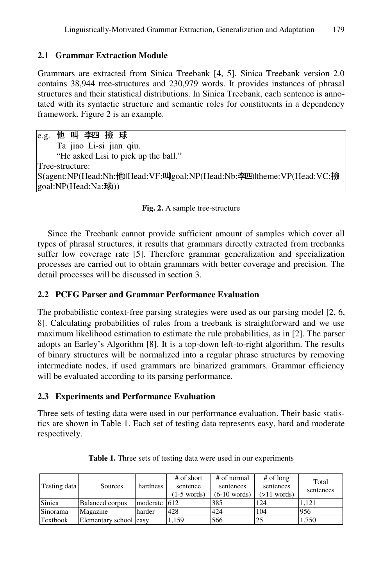## **2.1 Grammar Extraction Module**

Grammars are extracted from Sinica Treebank [4, 5]. Sinica Treebank version 2.0 contains 38,944 tree-structures and 230,979 words. It provides instances of phrasal structures and their statistical distributions. In Sinica Treebank, each sentence is annotated with its syntactic structure and semantic roles for constituents in a dependency framework. Figure 2 is an example.

e.g. 他 叫 李四 撿 球 Ta jiao Li-si jian qiu. "He asked Lisi to pick up the ball." Tree-structure: S(agent:NP(Head:Nh:他)|Head:VF:叫goal:NP(Head:Nb:李四)|theme:VP(Head:VC:撿 goal:NP(Head:Na:球)))

#### **Fig. 2.** A sample tree-structure

Since the Treebank cannot provide sufficient amount of samples which cover all types of phrasal structures, it results that grammars directly extracted from treebanks suffer low coverage rate [5]. Therefore grammar generalization and specialization processes are carried out to obtain grammars with better coverage and precision. The detail processes will be discussed in section 3.

#### **2.2 PCFG Parser and Grammar Performance Evaluation**

The probabilistic context-free parsing strategies were used as our parsing model [2, 6, 8]. Calculating probabilities of rules from a treebank is straightforward and we use maximum likelihood estimation to estimate the rule probabilities, as in [2]. The parser adopts an Earley's Algorithm [8]. It is a top-down left-to-right algorithm. The results of binary structures will be normalized into a regular phrase structures by removing intermediate nodes, if used grammars are binarized grammars. Grammar efficiency will be evaluated according to its parsing performance.

#### **2.3 Experiments and Performance Evaluation**

Three sets of testing data were used in our performance evaluation. Their basic statistics are shown in Table 1. Each set of testing data represents easy, hard and moderate respectively.

| Testing data | Sources                | hardness     | # of short<br>sentence<br>$(1-5$ words) | # of normal<br>sentences<br>$(6-10$ words) | $#$ of long<br>sentences<br>$(>11$ words) | Total<br>sentences |
|--------------|------------------------|--------------|-----------------------------------------|--------------------------------------------|-------------------------------------------|--------------------|
| Sinica       | <b>Balanced</b> corpus | moderate 612 |                                         | 385                                        | 124                                       | 1.121              |
| Sinorama     | Magazine               | harder       | 428                                     | 424                                        | 104                                       | 956                |
| Textbook     | Elementary school easy |              | .159                                    | 566                                        | 25                                        | 1,750              |

**Table 1.** Three sets of testing data were used in our experiments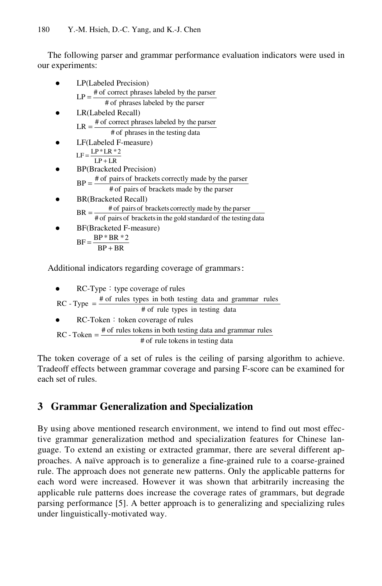The following parser and grammar performance evaluation indicators were used in our experiments:

- LP(Labeled Precision) # of phrases labeled by the parser  $LP = \frac{\text{\# of correct phrases labeled by the parser}}{}$
- LR(Labeled Recall) # of phrases in the testing data  $LR = \frac{\text{# of correct phrases labeled by the parser}}{}$
- LF(Labeled F-measure)  $LF = \frac{LP * LR * 2}{LP + LR}$
- BP(Bracketed Precision) # of pairs of brackets made by the parser  $BP = \frac{\text{\# of pairs of brackets correctly made by the parser}}{B}$
- BR(Bracketed Recall)  $BR = \frac{\text{# of pairs of brackets correctly made by the parser}}{\text{# of pairs of brackets in the gold standard of the testing data}}$
- BF(Bracketed F-measure)  $BF = \frac{BP * BR * 2}{BP + BR}$

Additional indicators regarding coverage of grammars:

RC-Type: type coverage of rules<br>RC - Type =  $\frac{\text{\# of rules types in both testing data and grammar rules}}{\text{max of rules}}$ # of rule types in testing data RC-Token: token coverage of rules<br>RC - Token =  $\frac{\text{\# of rules}}{\text{# of words}}$  tokens in both testing data and grammar rules # of rule tokens in testing data

The token coverage of a set of rules is the ceiling of parsing algorithm to achieve. Tradeoff effects between grammar coverage and parsing F-score can be examined for each set of rules.

# **3 Grammar Generalization and Specialization**

By using above mentioned research environment, we intend to find out most effective grammar generalization method and specialization features for Chinese language. To extend an existing or extracted grammar, there are several different approaches. A naïve approach is to generalize a fine-grained rule to a coarse-grained rule. The approach does not generate new patterns. Only the applicable patterns for each word were increased. However it was shown that arbitrarily increasing the applicable rule patterns does increase the coverage rates of grammars, but degrade parsing performance [5]. A better approach is to generalizing and specializing rules under linguistically-motivated way.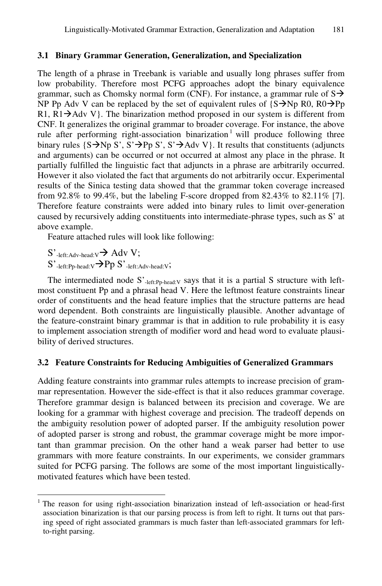#### **3.1 Binary Grammar Generation, Generalization, and Specialization**

The length of a phrase in Treebank is variable and usually long phrases suffer from low probability. Therefore most PCFG approaches adopt the binary equivalence grammar, such as Chomsky normal form (CNF). For instance, a grammar rule of  $S\rightarrow$ NP Pp Adv V can be replaced by the set of equivalent rules of  $\{S\rightarrow Np\}R0, R0\rightarrow Pp$ R1,  $R1 \rightarrow A d v V$ . The binarization method proposed in our system is different from CNF. It generalizes the original grammar to broader coverage. For instance, the above rule after performing right-association binarization  $1$  will produce following three binary rules  $\{S\rightarrow Np S', S'\rightarrow Pp S', S'\rightarrow A d v V\}$ . It results that constituents (adjuncts and arguments) can be occurred or not occurred at almost any place in the phrase. It partially fulfilled the linguistic fact that adjuncts in a phrase are arbitrarily occurred. However it also violated the fact that arguments do not arbitrarily occur. Experimental results of the Sinica testing data showed that the grammar token coverage increased from 92.8% to 99.4%, but the labeling F-score dropped from 82.43% to 82.11% [7]. Therefore feature constraints were added into binary rules to limit over-generation caused by recursively adding constituents into intermediate-phrase types, such as S' at above example.

Feature attached rules will look like following:

 $S'$ -left:Adv-head: $V \rightarrow A dV V$ ;  $S'$ -left:Pp-head: $V \rightarrow Pp S'$ -left:Adv-head:V;

The intermediated node S'<sub>-left:Pp-head:V</sub> says that it is a partial S structure with leftmost constituent Pp and a phrasal head V. Here the leftmost feature constraints linear order of constituents and the head feature implies that the structure patterns are head word dependent. Both constraints are linguistically plausible. Another advantage of the feature-constraint binary grammar is that in addition to rule probability it is easy to implement association strength of modifier word and head word to evaluate plausibility of derived structures.

#### **3.2 Feature Constraints for Reducing Ambiguities of Generalized Grammars**

Adding feature constraints into grammar rules attempts to increase precision of grammar representation. However the side-effect is that it also reduces grammar coverage. Therefore grammar design is balanced between its precision and coverage. We are looking for a grammar with highest coverage and precision. The tradeoff depends on the ambiguity resolution power of adopted parser. If the ambiguity resolution power of adopted parser is strong and robust, the grammar coverage might be more important than grammar precision. On the other hand a weak parser had better to use grammars with more feature constraints. In our experiments, we consider grammars suited for PCFG parsing. The follows are some of the most important linguisticallymotivated features which have been tested.

l <sup>1</sup> The reason for using right-association binarization instead of left-association or head-first association binarization is that our parsing process is from left to right. It turns out that parsing speed of right associated grammars is much faster than left-associated grammars for leftto-right parsing.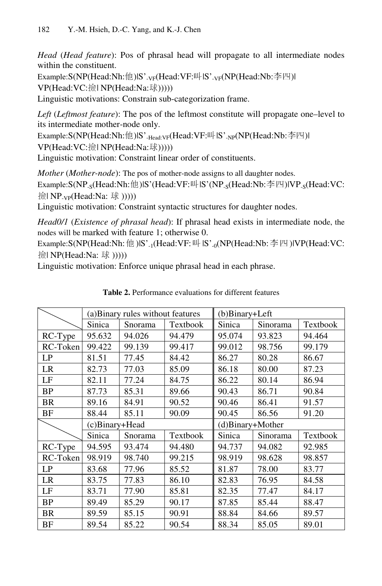*Head* (*Head feature*): Pos of phrasal head will propagate to all intermediate nodes within the constituent.

Example:S(NP(Head:Nh:他)|S'<sub>-VF</sub>(Head:VF:叫|S'<sub>-VF</sub>(NP(Head:Nb:李四)|

VP(Head:VC:撿| NP(Head:Na:球)))))

Linguistic motivations: Constrain sub-categorization frame.

*Left* (*Leftmost feature*): The pos of the leftmost constitute will propagate one–level to its intermediate mother-node only.

Example:S(NP(Head:Nh:他)|S'<sub>-Head:VF</sub>(Head:VF:叫|S'<sub>-NP</sub>(NP(Head:Nb:李四)| VP(Head:VC:撿| NP(Head:Na:球)))))

Linguistic motivation: Constraint linear order of constituents.

*Mother* (*Mother-node*): The pos of mother-node assigns to all daughter nodes. Example:S(NP<sub>-S</sub>(Head:Nh:他)|S'(Head:VF:叫|S'(NP<sub>-S</sub>(Head:Nb:李四)|VP<sub>-S</sub>(Head:VC: 撿|  $NP_{VP}(Head:Na: 一$  )))))

Linguistic motivation: Constraint syntactic structures for daughter nodes.

*Head0/1* (*Existence of phrasal head*): If phrasal head exists in intermediate node, the nodes will be marked with feature 1; otherwise 0.

Example:S(NP(Head:Nh: 他)|S'<sub>-1</sub>(Head:VF: 叫 |S'<sub>-0</sub>(NP(Head:Nb: 李 四)|VP(Head:VC: 撿| NP(Head:Na: 球 )))))

Linguistic motivation: Enforce unique phrasal head in each phrase.

|           | (a) Binary rules without features |         |                  | (b)Binary+Left |          |          |
|-----------|-----------------------------------|---------|------------------|----------------|----------|----------|
|           | Sinica                            | Snorama | Textbook         | Sinica         | Sinorama | Textbook |
| RC-Type   | 95.632                            | 94.026  | 94.479           | 95.074         | 93.823   | 94.464   |
| RC-Token  | 99.422                            | 99.139  | 99.417           | 99.012         | 98.756   | 99.179   |
| LP        | 81.51                             | 77.45   | 84.42            | 86.27          | 80.28    | 86.67    |
| LR        | 82.73                             | 77.03   | 85.09            | 86.18          | 80.00    | 87.23    |
| LF        | 82.11                             | 77.24   | 84.75            | 86.22          | 80.14    | 86.94    |
| <b>BP</b> | 87.73                             | 85.31   | 89.66            | 90.43          | 86.71    | 90.84    |
| <b>BR</b> | 89.16                             | 84.91   | 90.52            | 90.46          | 86.41    | 91.57    |
| BF        | 88.44                             | 85.11   | 90.09            | 90.45          | 86.56    | 91.20    |
|           | (c)Binary+Head                    |         | (d)Binary+Mother |                |          |          |
|           | Sinica                            | Snorama | Textbook         | Sinica         | Sinorama | Textbook |
| RC-Type   | 94.595                            | 93.474  | 94.480           | 94.737         | 94.082   | 92.985   |
| RC-Token  | 98.919                            | 98.740  | 99.215           | 98.919         | 98.628   | 98.857   |
| LP        | 83.68                             | 77.96   | 85.52            | 81.87          | 78.00    | 83.77    |
| LR        | 83.75                             | 77.83   | 86.10            | 82.83          | 76.95    | 84.58    |
| LF        | 83.71                             | 77.90   | 85.81            | 82.35          | 77.47    | 84.17    |
| <b>BP</b> | 89.49                             | 85.29   | 90.17            | 87.85          | 85.44    | 88.47    |
| BR        | 89.59                             | 85.15   | 90.91            | 88.84          | 84.66    | 89.57    |
| ΒF        | 89.54                             | 85.22   | 90.54            | 88.34          | 85.05    | 89.01    |

**Table 2.** Performance evaluations for different features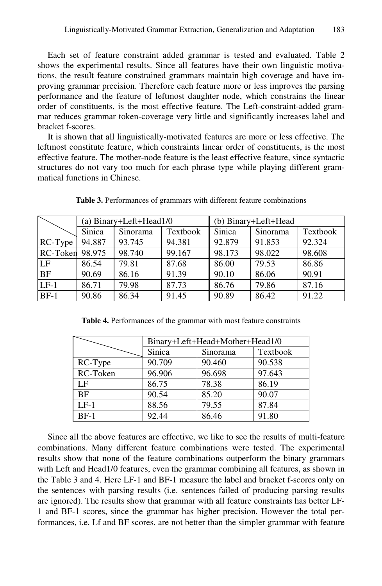Each set of feature constraint added grammar is tested and evaluated. Table 2 shows the experimental results. Since all features have their own linguistic motivations, the result feature constrained grammars maintain high coverage and have improving grammar precision. Therefore each feature more or less improves the parsing performance and the feature of leftmost daughter node, which constrains the linear order of constituents, is the most effective feature. The Left-constraint-added grammar reduces grammar token-coverage very little and significantly increases label and bracket f-scores.

It is shown that all linguistically-motivated features are more or less effective. The leftmost constitute feature, which constraints linear order of constituents, is the most effective feature. The mother-node feature is the least effective feature, since syntactic structures do not vary too much for each phrase type while playing different grammatical functions in Chinese.

|                        | (a) Binary+Left+Head1/0 |          |          | (b) Binary+Left+Head |          |          |
|------------------------|-------------------------|----------|----------|----------------------|----------|----------|
|                        | Sinica                  | Sinorama | Textbook | Sinica               | Sinorama | Textbook |
| $RC-Type$              | 94.887                  | 93.745   | 94.381   | 92.879               | 91.853   | 92.324   |
| <b>RC-Token</b> 98.975 |                         | 98.740   | 99.167   | 98.173               | 98.022   | 98.608   |
| LF                     | 86.54                   | 79.81    | 87.68    | 86.00                | 79.53    | 86.86    |
| <b>BF</b>              | 90.69                   | 86.16    | 91.39    | 90.10                | 86.06    | 90.91    |
| $LF-1$                 | 86.71                   | 79.98    | 87.73    | 86.76                | 79.86    | 87.16    |
| $BF-1$                 | 90.86                   | 86.34    | 91.45    | 90.89                | 86.42    | 91.22    |

**Table 3.** Performances of grammars with different feature combinations

**Table 4.** Performances of the grammar with most feature constraints

|          | Binary+Left+Head+Mother+Head1/0 |          |          |  |  |
|----------|---------------------------------|----------|----------|--|--|
|          | Sinica                          | Sinorama | Textbook |  |  |
| RC-Type  | 90.709                          | 90.460   | 90.538   |  |  |
| RC-Token | 96.906                          | 96.698   | 97.643   |  |  |
| LF       | 86.75                           | 78.38    | 86.19    |  |  |
| BF       | 90.54                           | 85.20    | 90.07    |  |  |
| $LE-1$   | 88.56                           | 79.55    | 87.84    |  |  |
| $BF-1$   | 92.44                           | 86.46    | 91.80    |  |  |

Since all the above features are effective, we like to see the results of multi-feature combinations. Many different feature combinations were tested. The experimental results show that none of the feature combinations outperform the binary grammars with Left and Head1/0 features, even the grammar combining all features, as shown in the Table 3 and 4. Here LF-1 and BF-1 measure the label and bracket f-scores only on the sentences with parsing results (i.e. sentences failed of producing parsing results are ignored). The results show that grammar with all feature constraints has better LF-1 and BF-1 scores, since the grammar has higher precision. However the total performances, i.e. Lf and BF scores, are not better than the simpler grammar with feature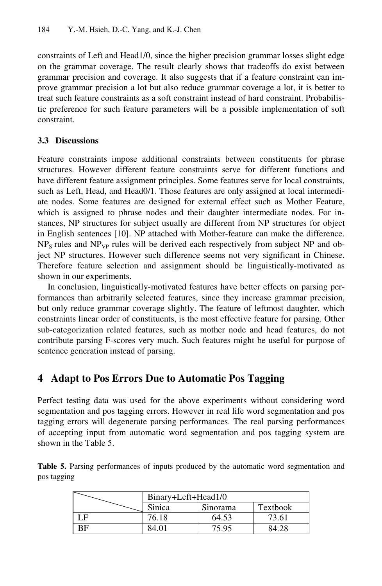constraints of Left and Head1/0, since the higher precision grammar losses slight edge on the grammar coverage. The result clearly shows that tradeoffs do exist between grammar precision and coverage. It also suggests that if a feature constraint can improve grammar precision a lot but also reduce grammar coverage a lot, it is better to treat such feature constraints as a soft constraint instead of hard constraint. Probabilistic preference for such feature parameters will be a possible implementation of soft constraint.

#### **3.3 Discussions**

Feature constraints impose additional constraints between constituents for phrase structures. However different feature constraints serve for different functions and have different feature assignment principles. Some features serve for local constraints, such as Left, Head, and Head0/1. Those features are only assigned at local intermediate nodes. Some features are designed for external effect such as Mother Feature, which is assigned to phrase nodes and their daughter intermediate nodes. For instances, NP structures for subject usually are different from NP structures for object in English sentences [10]. NP attached with Mother-feature can make the difference.  $NP<sub>S</sub>$  rules and  $NP<sub>VP</sub>$  rules will be derived each respectively from subject NP and object NP structures. However such difference seems not very significant in Chinese. Therefore feature selection and assignment should be linguistically-motivated as shown in our experiments.

In conclusion, linguistically-motivated features have better effects on parsing performances than arbitrarily selected features, since they increase grammar precision, but only reduce grammar coverage slightly. The feature of leftmost daughter, which constraints linear order of constituents, is the most effective feature for parsing. Other sub-categorization related features, such as mother node and head features, do not contribute parsing F-scores very much. Such features might be useful for purpose of sentence generation instead of parsing.

## **4 Adapt to Pos Errors Due to Automatic Pos Tagging**

Perfect testing data was used for the above experiments without considering word segmentation and pos tagging errors. However in real life word segmentation and pos tagging errors will degenerate parsing performances. The real parsing performances of accepting input from automatic word segmentation and pos tagging system are shown in the Table 5.

**Table 5.** Parsing performances of inputs produced by the automatic word segmentation and pos tagging

| Binary+Left+Head1/0 |          |          |  |  |
|---------------------|----------|----------|--|--|
| Sinica              | Sinorama | Textbook |  |  |
| 76.18               | 64.53    | 73.61    |  |  |
|                     | 75 95    |          |  |  |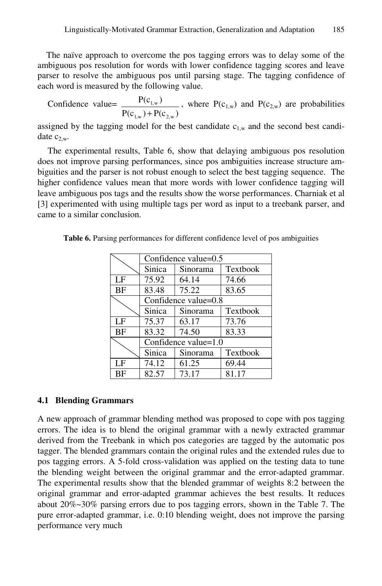The naïve approach to overcome the pos tagging errors was to delay some of the ambiguous pos resolution for words with lower confidence tagging scores and leave parser to resolve the ambiguous pos until parsing stage. The tagging confidence of each word is measured by the following value.

Confidence value=
$$
\frac{P(c_{1,w})}{P(c_{1,w})+P(c_{2,w})}
$$
, where  $P(c_{1,w})$  and  $P(c_{2,w})$  are probabilities

assigned by the tagging model for the best candidate  $c_{1,w}$  and the second best candidate  $c_{2w}$ .

The experimental results, Table 6, show that delaying ambiguous pos resolution does not improve parsing performances, since pos ambiguities increase structure ambiguities and the parser is not robust enough to select the best tagging sequence. The higher confidence values mean that more words with lower confidence tagging will leave ambiguous pos tags and the results show the worse performances. Charniak et al [3] experimented with using multiple tags per word as input to a treebank parser, and came to a similar conclusion.

|           | Confidence value= $0.5$ |                      |          |  |  |
|-----------|-------------------------|----------------------|----------|--|--|
|           | Sinica<br>Sinorama      |                      | Textbook |  |  |
| LF        | 75.92                   | 64.14                | 74.66    |  |  |
| <b>BF</b> | 83.48                   | 75.22                | 83.65    |  |  |
|           |                         | Confidence value=0.8 |          |  |  |
|           | Sinica                  | Sinorama             | Textbook |  |  |
| LF        | 75.37                   | 63.17                | 73.76    |  |  |
| BF        | 83.32                   | 74.50                | 83.33    |  |  |
|           | Confidence value= $1.0$ |                      |          |  |  |
|           | Sinica                  | Sinorama             | Textbook |  |  |
| LF        | 74.12                   | 61.25                | 69.44    |  |  |
| ΒF        | 82.57                   | 73.17                | 81.17    |  |  |

**Table 6.** Parsing performances for different confidence level of pos ambiguities

#### **4.1 Blending Grammars**

A new approach of grammar blending method was proposed to cope with pos tagging errors. The idea is to blend the original grammar with a newly extracted grammar derived from the Treebank in which pos categories are tagged by the automatic pos tagger. The blended grammars contain the original rules and the extended rules due to pos tagging errors. A 5-fold cross-validation was applied on the testing data to tune the blending weight between the original grammar and the error-adapted grammar. The experimental results show that the blended grammar of weights 8:2 between the original grammar and error-adapted grammar achieves the best results. It reduces about 20%~30% parsing errors due to pos tagging errors, shown in the Table 7. The pure error-adapted grammar, i.e. 0:10 blending weight, does not improve the parsing performance very much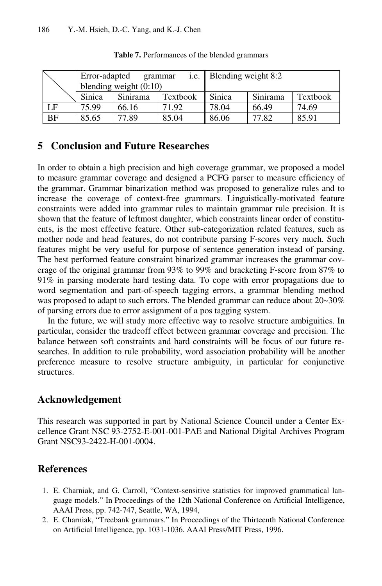|           | Error-adapted<br>grammar |                          |          | i.e. Blending weight $8:2$ |          |          |
|-----------|--------------------------|--------------------------|----------|----------------------------|----------|----------|
|           |                          | blending weight $(0:10)$ |          |                            |          |          |
|           | <b>Sinica</b>            | Sinirama                 | Textbook | Sinica                     | Sinirama | Textbook |
| LF        | 75.99                    | 66.16                    | 71.92    | 78.04                      | 66.49    | 74.69    |
| <b>BF</b> | 85.65                    | 77.89                    | 85.04    | 86.06                      | 77.82    | 85.91    |

**Table 7.** Performances of the blended grammars

## **5 Conclusion and Future Researches**

In order to obtain a high precision and high coverage grammar, we proposed a model to measure grammar coverage and designed a PCFG parser to measure efficiency of the grammar. Grammar binarization method was proposed to generalize rules and to increase the coverage of context-free grammars. Linguistically-motivated feature constraints were added into grammar rules to maintain grammar rule precision. It is shown that the feature of leftmost daughter, which constraints linear order of constituents, is the most effective feature. Other sub-categorization related features, such as mother node and head features, do not contribute parsing F-scores very much. Such features might be very useful for purpose of sentence generation instead of parsing. The best performed feature constraint binarized grammar increases the grammar coverage of the original grammar from 93% to 99% and bracketing F-score from 87% to 91% in parsing moderate hard testing data. To cope with error propagations due to word segmentation and part-of-speech tagging errors, a grammar blending method was proposed to adapt to such errors. The blended grammar can reduce about 20~30% of parsing errors due to error assignment of a pos tagging system.

In the future, we will study more effective way to resolve structure ambiguities. In particular, consider the tradeoff effect between grammar coverage and precision. The balance between soft constraints and hard constraints will be focus of our future researches. In addition to rule probability, word association probability will be another preference measure to resolve structure ambiguity, in particular for conjunctive structures.

## **Acknowledgement**

This research was supported in part by National Science Council under a Center Excellence Grant NSC 93-2752-E-001-001-PAE and National Digital Archives Program Grant NSC93-2422-H-001-0004.

## **References**

- 1. E. Charniak, and G. Carroll, "Context-sensitive statistics for improved grammatical language models." In Proceedings of the 12th National Conference on Artificial Intelligence, AAAI Press, pp. 742-747, Seattle, WA, 1994,
- 2. E. Charniak, "Treebank grammars." In Proceedings of the Thirteenth National Conference on Artificial Intelligence, pp. 1031-1036. AAAI Press/MIT Press, 1996.